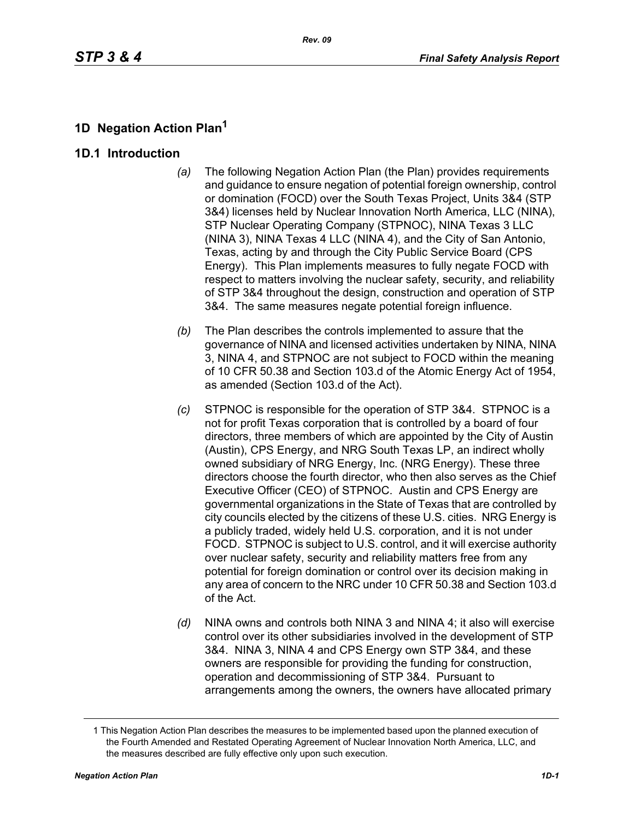## **1D Negation Action Plan<sup>1</sup>**

#### **1D.1 Introduction**

- *(a)* The following Negation Action Plan (the Plan) provides requirements and guidance to ensure negation of potential foreign ownership, control or domination (FOCD) over the South Texas Project, Units 3&4 (STP 3&4) licenses held by Nuclear Innovation North America, LLC (NINA), STP Nuclear Operating Company (STPNOC), NINA Texas 3 LLC (NINA 3), NINA Texas 4 LLC (NINA 4), and the City of San Antonio, Texas, acting by and through the City Public Service Board (CPS Energy). This Plan implements measures to fully negate FOCD with respect to matters involving the nuclear safety, security, and reliability of STP 3&4 throughout the design, construction and operation of STP 3&4. The same measures negate potential foreign influence.
- *(b)* The Plan describes the controls implemented to assure that the governance of NINA and licensed activities undertaken by NINA, NINA 3, NINA 4, and STPNOC are not subject to FOCD within the meaning of 10 CFR 50.38 and Section 103.d of the Atomic Energy Act of 1954, as amended (Section 103.d of the Act).
- *(c)* STPNOC is responsible for the operation of STP 3&4. STPNOC is a not for profit Texas corporation that is controlled by a board of four directors, three members of which are appointed by the City of Austin (Austin), CPS Energy, and NRG South Texas LP, an indirect wholly owned subsidiary of NRG Energy, Inc. (NRG Energy). These three directors choose the fourth director, who then also serves as the Chief Executive Officer (CEO) of STPNOC. Austin and CPS Energy are governmental organizations in the State of Texas that are controlled by city councils elected by the citizens of these U.S. cities. NRG Energy is a publicly traded, widely held U.S. corporation, and it is not under FOCD. STPNOC is subject to U.S. control, and it will exercise authority over nuclear safety, security and reliability matters free from any potential for foreign domination or control over its decision making in any area of concern to the NRC under 10 CFR 50.38 and Section 103.d of the Act.
- *(d)* NINA owns and controls both NINA 3 and NINA 4; it also will exercise control over its other subsidiaries involved in the development of STP 3&4. NINA 3, NINA 4 and CPS Energy own STP 3&4, and these owners are responsible for providing the funding for construction, operation and decommissioning of STP 3&4. Pursuant to arrangements among the owners, the owners have allocated primary

<sup>1</sup> This Negation Action Plan describes the measures to be implemented based upon the planned execution of the Fourth Amended and Restated Operating Agreement of Nuclear Innovation North America, LLC, and the measures described are fully effective only upon such execution.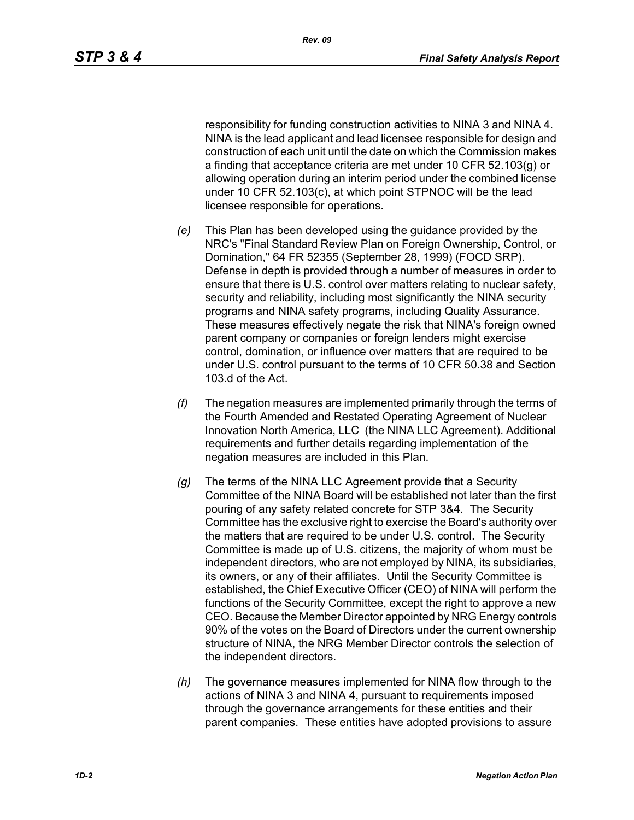responsibility for funding construction activities to NINA 3 and NINA 4. NINA is the lead applicant and lead licensee responsible for design and construction of each unit until the date on which the Commission makes a finding that acceptance criteria are met under 10 CFR 52.103(g) or allowing operation during an interim period under the combined license under 10 CFR 52.103(c), at which point STPNOC will be the lead licensee responsible for operations.

- *(e)* This Plan has been developed using the guidance provided by the NRC's "Final Standard Review Plan on Foreign Ownership, Control, or Domination," 64 FR 52355 (September 28, 1999) (FOCD SRP). Defense in depth is provided through a number of measures in order to ensure that there is U.S. control over matters relating to nuclear safety, security and reliability, including most significantly the NINA security programs and NINA safety programs, including Quality Assurance. These measures effectively negate the risk that NINA's foreign owned parent company or companies or foreign lenders might exercise control, domination, or influence over matters that are required to be under U.S. control pursuant to the terms of 10 CFR 50.38 and Section 103.d of the Act.
- *(f)* The negation measures are implemented primarily through the terms of the Fourth Amended and Restated Operating Agreement of Nuclear Innovation North America, LLC (the NINA LLC Agreement). Additional requirements and further details regarding implementation of the negation measures are included in this Plan.
- *(g)* The terms of the NINA LLC Agreement provide that a Security Committee of the NINA Board will be established not later than the first pouring of any safety related concrete for STP 3&4. The Security Committee has the exclusive right to exercise the Board's authority over the matters that are required to be under U.S. control. The Security Committee is made up of U.S. citizens, the majority of whom must be independent directors, who are not employed by NINA, its subsidiaries, its owners, or any of their affiliates. Until the Security Committee is established, the Chief Executive Officer (CEO) of NINA will perform the functions of the Security Committee, except the right to approve a new CEO. Because the Member Director appointed by NRG Energy controls 90% of the votes on the Board of Directors under the current ownership structure of NINA, the NRG Member Director controls the selection of the independent directors.
- *(h)* The governance measures implemented for NINA flow through to the actions of NINA 3 and NINA 4, pursuant to requirements imposed through the governance arrangements for these entities and their parent companies. These entities have adopted provisions to assure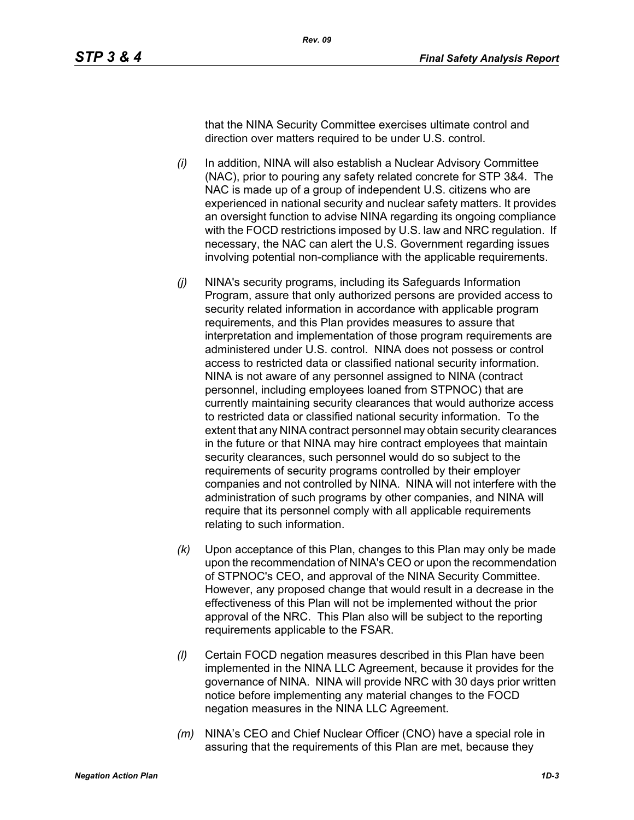that the NINA Security Committee exercises ultimate control and direction over matters required to be under U.S. control.

- *(i)* In addition, NINA will also establish a Nuclear Advisory Committee (NAC), prior to pouring any safety related concrete for STP 3&4. The NAC is made up of a group of independent U.S. citizens who are experienced in national security and nuclear safety matters. It provides an oversight function to advise NINA regarding its ongoing compliance with the FOCD restrictions imposed by U.S. law and NRC regulation. If necessary, the NAC can alert the U.S. Government regarding issues involving potential non-compliance with the applicable requirements.
- *(j)* NINA's security programs, including its Safeguards Information Program, assure that only authorized persons are provided access to security related information in accordance with applicable program requirements, and this Plan provides measures to assure that interpretation and implementation of those program requirements are administered under U.S. control. NINA does not possess or control access to restricted data or classified national security information. NINA is not aware of any personnel assigned to NINA (contract personnel, including employees loaned from STPNOC) that are currently maintaining security clearances that would authorize access to restricted data or classified national security information. To the extent that any NINA contract personnel may obtain security clearances in the future or that NINA may hire contract employees that maintain security clearances, such personnel would do so subject to the requirements of security programs controlled by their employer companies and not controlled by NINA. NINA will not interfere with the administration of such programs by other companies, and NINA will require that its personnel comply with all applicable requirements relating to such information.
- *(k)* Upon acceptance of this Plan, changes to this Plan may only be made upon the recommendation of NINA's CEO or upon the recommendation of STPNOC's CEO, and approval of the NINA Security Committee. However, any proposed change that would result in a decrease in the effectiveness of this Plan will not be implemented without the prior approval of the NRC. This Plan also will be subject to the reporting requirements applicable to the FSAR.
- *(l)* Certain FOCD negation measures described in this Plan have been implemented in the NINA LLC Agreement, because it provides for the governance of NINA. NINA will provide NRC with 30 days prior written notice before implementing any material changes to the FOCD negation measures in the NINA LLC Agreement.
- *(m)* NINA's CEO and Chief Nuclear Officer (CNO) have a special role in assuring that the requirements of this Plan are met, because they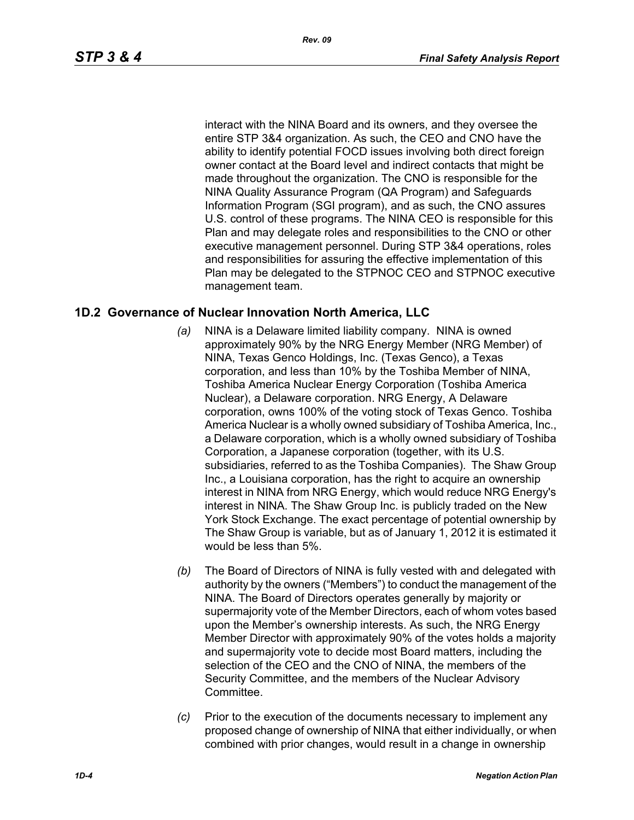interact with the NINA Board and its owners, and they oversee the entire STP 3&4 organization. As such, the CEO and CNO have the ability to identify potential FOCD issues involving both direct foreign owner contact at the Board level and indirect contacts that might be made throughout the organization. The CNO is responsible for the NINA Quality Assurance Program (QA Program) and Safeguards Information Program (SGI program), and as such, the CNO assures U.S. control of these programs. The NINA CEO is responsible for this Plan and may delegate roles and responsibilities to the CNO or other executive management personnel. During STP 3&4 operations, roles and responsibilities for assuring the effective implementation of this Plan may be delegated to the STPNOC CEO and STPNOC executive management team.

#### **1D.2 Governance of Nuclear Innovation North America, LLC**

- *(a)* NINA is a Delaware limited liability company. NINA is owned approximately 90% by the NRG Energy Member (NRG Member) of NINA, Texas Genco Holdings, Inc. (Texas Genco), a Texas corporation, and less than 10% by the Toshiba Member of NINA, Toshiba America Nuclear Energy Corporation (Toshiba America Nuclear), a Delaware corporation. NRG Energy, A Delaware corporation, owns 100% of the voting stock of Texas Genco. Toshiba America Nuclear is a wholly owned subsidiary of Toshiba America, Inc., a Delaware corporation, which is a wholly owned subsidiary of Toshiba Corporation, a Japanese corporation (together, with its U.S. subsidiaries, referred to as the Toshiba Companies). The Shaw Group Inc., a Louisiana corporation, has the right to acquire an ownership interest in NINA from NRG Energy, which would reduce NRG Energy's interest in NINA. The Shaw Group Inc. is publicly traded on the New York Stock Exchange. The exact percentage of potential ownership by The Shaw Group is variable, but as of January 1, 2012 it is estimated it would be less than 5%.
- *(b)* The Board of Directors of NINA is fully vested with and delegated with authority by the owners ("Members") to conduct the management of the NINA. The Board of Directors operates generally by majority or supermajority vote of the Member Directors, each of whom votes based upon the Member's ownership interests. As such, the NRG Energy Member Director with approximately 90% of the votes holds a majority and supermajority vote to decide most Board matters, including the selection of the CEO and the CNO of NINA, the members of the Security Committee, and the members of the Nuclear Advisory **Committee.**
- *(c)* Prior to the execution of the documents necessary to implement any proposed change of ownership of NINA that either individually, or when combined with prior changes, would result in a change in ownership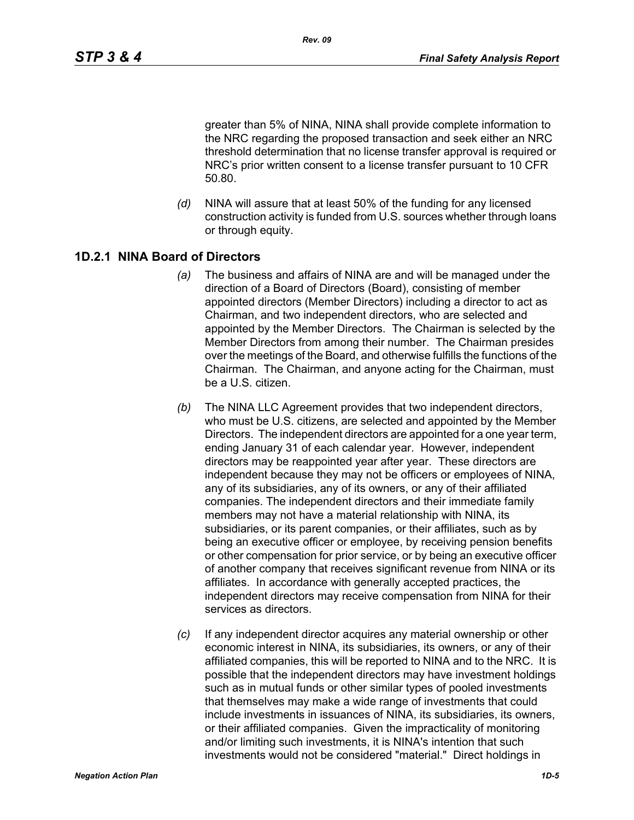greater than 5% of NINA, NINA shall provide complete information to the NRC regarding the proposed transaction and seek either an NRC threshold determination that no license transfer approval is required or NRC's prior written consent to a license transfer pursuant to 10 CFR 50.80.

*(d)* NINA will assure that at least 50% of the funding for any licensed construction activity is funded from U.S. sources whether through loans or through equity.

#### **1D.2.1 NINA Board of Directors**

- *(a)* The business and affairs of NINA are and will be managed under the direction of a Board of Directors (Board), consisting of member appointed directors (Member Directors) including a director to act as Chairman, and two independent directors, who are selected and appointed by the Member Directors. The Chairman is selected by the Member Directors from among their number. The Chairman presides over the meetings of the Board, and otherwise fulfills the functions of the Chairman. The Chairman, and anyone acting for the Chairman, must be a U.S. citizen.
- *(b)* The NINA LLC Agreement provides that two independent directors, who must be U.S. citizens, are selected and appointed by the Member Directors. The independent directors are appointed for a one year term, ending January 31 of each calendar year. However, independent directors may be reappointed year after year. These directors are independent because they may not be officers or employees of NINA, any of its subsidiaries, any of its owners, or any of their affiliated companies. The independent directors and their immediate family members may not have a material relationship with NINA, its subsidiaries, or its parent companies, or their affiliates, such as by being an executive officer or employee, by receiving pension benefits or other compensation for prior service, or by being an executive officer of another company that receives significant revenue from NINA or its affiliates. In accordance with generally accepted practices, the independent directors may receive compensation from NINA for their services as directors.
- *(c)* If any independent director acquires any material ownership or other economic interest in NINA, its subsidiaries, its owners, or any of their affiliated companies, this will be reported to NINA and to the NRC. It is possible that the independent directors may have investment holdings such as in mutual funds or other similar types of pooled investments that themselves may make a wide range of investments that could include investments in issuances of NINA, its subsidiaries, its owners, or their affiliated companies. Given the impracticality of monitoring and/or limiting such investments, it is NINA's intention that such investments would not be considered "material." Direct holdings in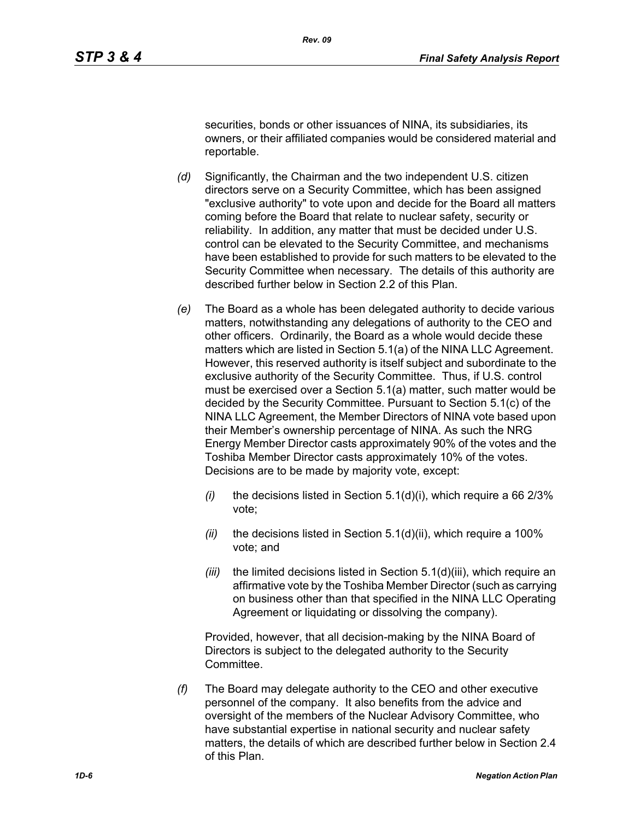securities, bonds or other issuances of NINA, its subsidiaries, its owners, or their affiliated companies would be considered material and reportable.

- *(d)* Significantly, the Chairman and the two independent U.S. citizen directors serve on a Security Committee, which has been assigned "exclusive authority" to vote upon and decide for the Board all matters coming before the Board that relate to nuclear safety, security or reliability. In addition, any matter that must be decided under U.S. control can be elevated to the Security Committee, and mechanisms have been established to provide for such matters to be elevated to the Security Committee when necessary. The details of this authority are described further below in Section 2.2 of this Plan.
- *(e)* The Board as a whole has been delegated authority to decide various matters, notwithstanding any delegations of authority to the CEO and other officers. Ordinarily, the Board as a whole would decide these matters which are listed in Section 5.1(a) of the NINA LLC Agreement. However, this reserved authority is itself subject and subordinate to the exclusive authority of the Security Committee. Thus, if U.S. control must be exercised over a Section 5.1(a) matter, such matter would be decided by the Security Committee. Pursuant to Section 5.1(c) of the NINA LLC Agreement, the Member Directors of NINA vote based upon their Member's ownership percentage of NINA. As such the NRG Energy Member Director casts approximately 90% of the votes and the Toshiba Member Director casts approximately 10% of the votes. Decisions are to be made by majority vote, except:
	- *(i)* the decisions listed in Section 5.1(d)(i), which require a 66 2/3% vote;
	- *(ii)* the decisions listed in Section 5.1(d)(ii), which require a 100% vote; and
	- *(iii)* the limited decisions listed in Section 5.1(d)(iii), which require an affirmative vote by the Toshiba Member Director (such as carrying on business other than that specified in the NINA LLC Operating Agreement or liquidating or dissolving the company).

Provided, however, that all decision-making by the NINA Board of Directors is subject to the delegated authority to the Security Committee.

*(f)* The Board may delegate authority to the CEO and other executive personnel of the company. It also benefits from the advice and oversight of the members of the Nuclear Advisory Committee, who have substantial expertise in national security and nuclear safety matters, the details of which are described further below in Section 2.4 of this Plan.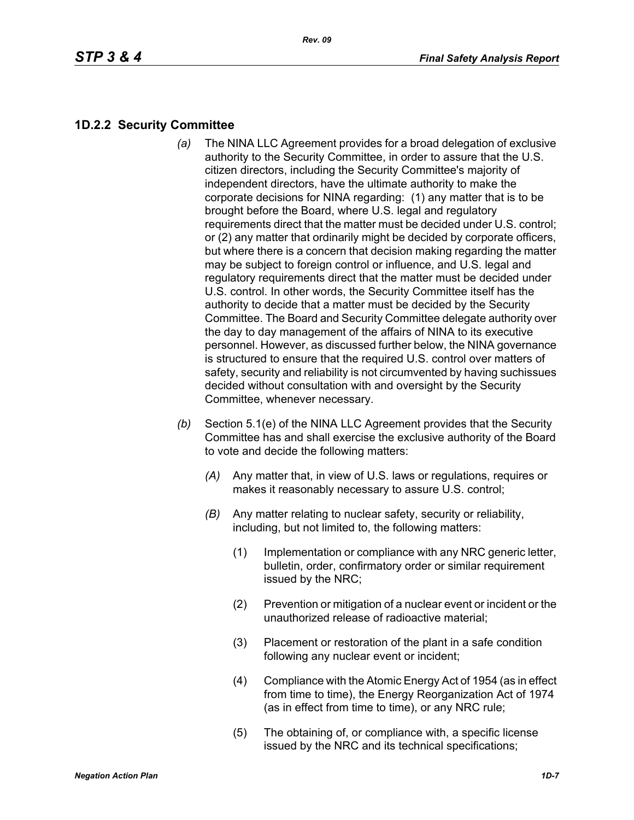## **1D.2.2 Security Committee**

- *(a)* The NINA LLC Agreement provides for a broad delegation of exclusive authority to the Security Committee, in order to assure that the U.S. citizen directors, including the Security Committee's majority of independent directors, have the ultimate authority to make the corporate decisions for NINA regarding: (1) any matter that is to be brought before the Board, where U.S. legal and regulatory requirements direct that the matter must be decided under U.S. control; or (2) any matter that ordinarily might be decided by corporate officers, but where there is a concern that decision making regarding the matter may be subject to foreign control or influence, and U.S. legal and regulatory requirements direct that the matter must be decided under U.S. control. In other words, the Security Committee itself has the authority to decide that a matter must be decided by the Security Committee. The Board and Security Committee delegate authority over the day to day management of the affairs of NINA to its executive personnel. However, as discussed further below, the NINA governance is structured to ensure that the required U.S. control over matters of safety, security and reliability is not circumvented by having suchissues decided without consultation with and oversight by the Security Committee, whenever necessary.
- *(b)* Section 5.1(e) of the NINA LLC Agreement provides that the Security Committee has and shall exercise the exclusive authority of the Board to vote and decide the following matters:
	- *(A)* Any matter that, in view of U.S. laws or regulations, requires or makes it reasonably necessary to assure U.S. control;
	- *(B)* Any matter relating to nuclear safety, security or reliability, including, but not limited to, the following matters:
		- (1) Implementation or compliance with any NRC generic letter, bulletin, order, confirmatory order or similar requirement issued by the NRC;
		- (2) Prevention or mitigation of a nuclear event or incident or the unauthorized release of radioactive material;
		- (3) Placement or restoration of the plant in a safe condition following any nuclear event or incident;
		- (4) Compliance with the Atomic Energy Act of 1954 (as in effect from time to time), the Energy Reorganization Act of 1974 (as in effect from time to time), or any NRC rule;
		- (5) The obtaining of, or compliance with, a specific license issued by the NRC and its technical specifications;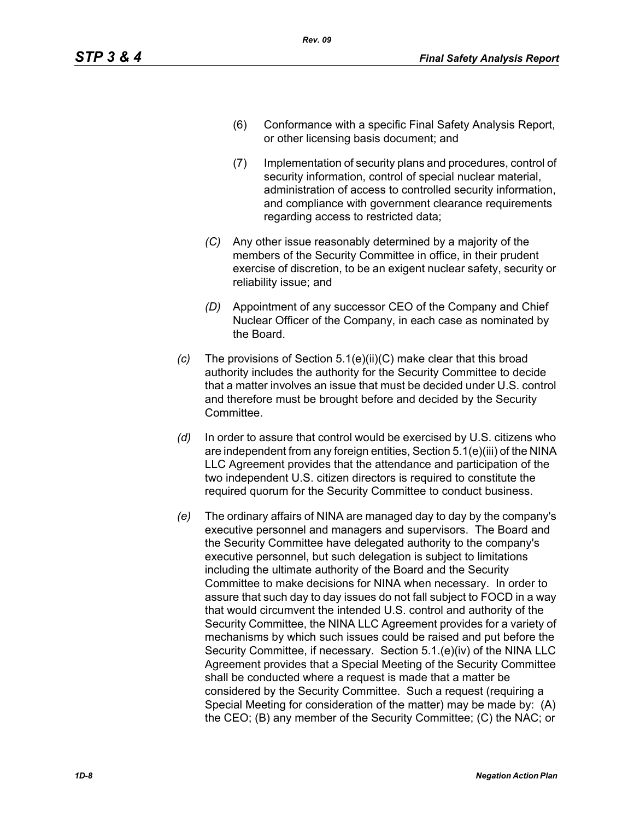- (6) Conformance with a specific Final Safety Analysis Report, or other licensing basis document; and
- (7) Implementation of security plans and procedures, control of security information, control of special nuclear material, administration of access to controlled security information, and compliance with government clearance requirements regarding access to restricted data;
- *(C)* Any other issue reasonably determined by a majority of the members of the Security Committee in office, in their prudent exercise of discretion, to be an exigent nuclear safety, security or reliability issue; and
- *(D)* Appointment of any successor CEO of the Company and Chief Nuclear Officer of the Company, in each case as nominated by the Board.
- *(c)* The provisions of Section 5.1(e)(ii)(C) make clear that this broad authority includes the authority for the Security Committee to decide that a matter involves an issue that must be decided under U.S. control and therefore must be brought before and decided by the Security **Committee.**
- *(d)* In order to assure that control would be exercised by U.S. citizens who are independent from any foreign entities, Section 5.1(e)(iii) of the NINA LLC Agreement provides that the attendance and participation of the two independent U.S. citizen directors is required to constitute the required quorum for the Security Committee to conduct business.
- *(e)* The ordinary affairs of NINA are managed day to day by the company's executive personnel and managers and supervisors. The Board and the Security Committee have delegated authority to the company's executive personnel, but such delegation is subject to limitations including the ultimate authority of the Board and the Security Committee to make decisions for NINA when necessary. In order to assure that such day to day issues do not fall subject to FOCD in a way that would circumvent the intended U.S. control and authority of the Security Committee, the NINA LLC Agreement provides for a variety of mechanisms by which such issues could be raised and put before the Security Committee, if necessary. Section 5.1.(e)(iv) of the NINA LLC Agreement provides that a Special Meeting of the Security Committee shall be conducted where a request is made that a matter be considered by the Security Committee. Such a request (requiring a Special Meeting for consideration of the matter) may be made by: (A) the CEO; (B) any member of the Security Committee; (C) the NAC; or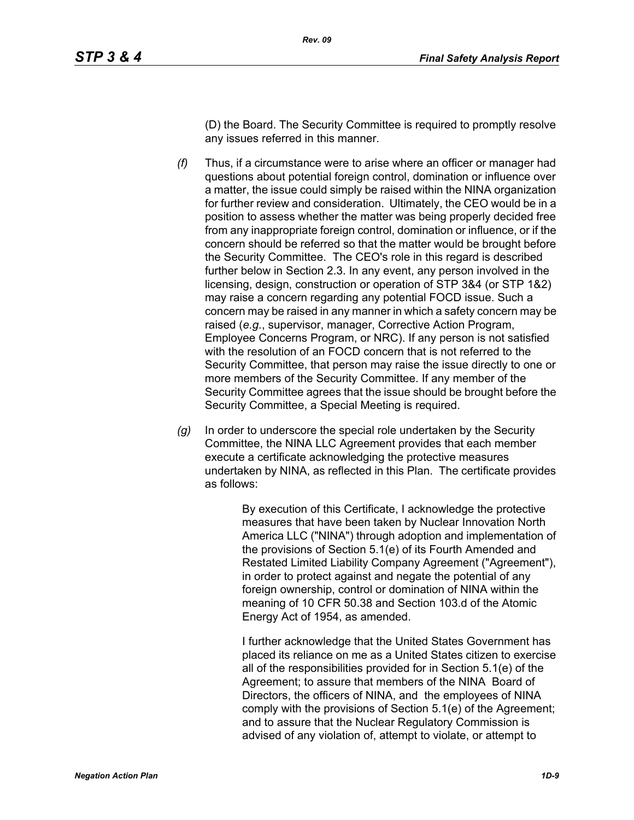(D) the Board. The Security Committee is required to promptly resolve any issues referred in this manner.

- *(f)* Thus, if a circumstance were to arise where an officer or manager had questions about potential foreign control, domination or influence over a matter, the issue could simply be raised within the NINA organization for further review and consideration. Ultimately, the CEO would be in a position to assess whether the matter was being properly decided free from any inappropriate foreign control, domination or influence, or if the concern should be referred so that the matter would be brought before the Security Committee. The CEO's role in this regard is described further below in Section 2.3. In any event, any person involved in the licensing, design, construction or operation of STP 3&4 (or STP 1&2) may raise a concern regarding any potential FOCD issue. Such a concern may be raised in any manner in which a safety concern may be raised (*e.g.*, supervisor, manager, Corrective Action Program, Employee Concerns Program, or NRC). If any person is not satisfied with the resolution of an FOCD concern that is not referred to the Security Committee, that person may raise the issue directly to one or more members of the Security Committee. If any member of the Security Committee agrees that the issue should be brought before the Security Committee, a Special Meeting is required.
- *(g)* In order to underscore the special role undertaken by the Security Committee, the NINA LLC Agreement provides that each member execute a certificate acknowledging the protective measures undertaken by NINA, as reflected in this Plan. The certificate provides as follows:

By execution of this Certificate, I acknowledge the protective measures that have been taken by Nuclear Innovation North America LLC ("NINA") through adoption and implementation of the provisions of Section 5.1(e) of its Fourth Amended and Restated Limited Liability Company Agreement ("Agreement"), in order to protect against and negate the potential of any foreign ownership, control or domination of NINA within the meaning of 10 CFR 50.38 and Section 103.d of the Atomic Energy Act of 1954, as amended.

I further acknowledge that the United States Government has placed its reliance on me as a United States citizen to exercise all of the responsibilities provided for in Section 5.1(e) of the Agreement; to assure that members of the NINA Board of Directors, the officers of NINA, and the employees of NINA comply with the provisions of Section 5.1(e) of the Agreement; and to assure that the Nuclear Regulatory Commission is advised of any violation of, attempt to violate, or attempt to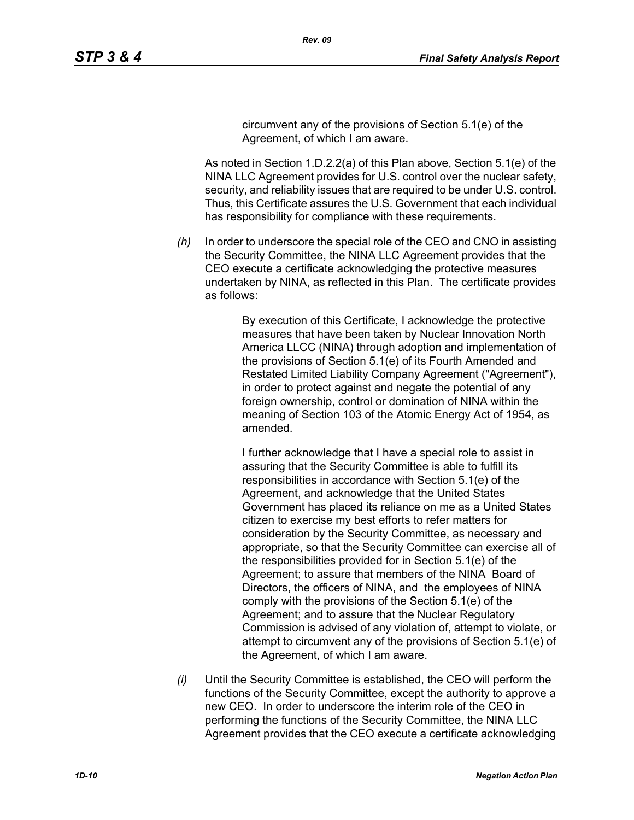circumvent any of the provisions of Section 5.1(e) of the Agreement, of which I am aware.

As noted in Section 1.D.2.2(a) of this Plan above, Section 5.1(e) of the NINA LLC Agreement provides for U.S. control over the nuclear safety, security, and reliability issues that are required to be under U.S. control. Thus, this Certificate assures the U.S. Government that each individual has responsibility for compliance with these requirements.

*(h)* In order to underscore the special role of the CEO and CNO in assisting the Security Committee, the NINA LLC Agreement provides that the CEO execute a certificate acknowledging the protective measures undertaken by NINA, as reflected in this Plan. The certificate provides as follows:

> By execution of this Certificate, I acknowledge the protective measures that have been taken by Nuclear Innovation North America LLCC (NINA) through adoption and implementation of the provisions of Section 5.1(e) of its Fourth Amended and Restated Limited Liability Company Agreement ("Agreement"), in order to protect against and negate the potential of any foreign ownership, control or domination of NINA within the meaning of Section 103 of the Atomic Energy Act of 1954, as amended.

> I further acknowledge that I have a special role to assist in assuring that the Security Committee is able to fulfill its responsibilities in accordance with Section 5.1(e) of the Agreement, and acknowledge that the United States Government has placed its reliance on me as a United States citizen to exercise my best efforts to refer matters for consideration by the Security Committee, as necessary and appropriate, so that the Security Committee can exercise all of the responsibilities provided for in Section 5.1(e) of the Agreement; to assure that members of the NINA Board of Directors, the officers of NINA, and the employees of NINA comply with the provisions of the Section 5.1(e) of the Agreement; and to assure that the Nuclear Regulatory Commission is advised of any violation of, attempt to violate, or attempt to circumvent any of the provisions of Section 5.1(e) of the Agreement, of which I am aware.

*(i)* Until the Security Committee is established, the CEO will perform the functions of the Security Committee, except the authority to approve a new CEO. In order to underscore the interim role of the CEO in performing the functions of the Security Committee, the NINA LLC Agreement provides that the CEO execute a certificate acknowledging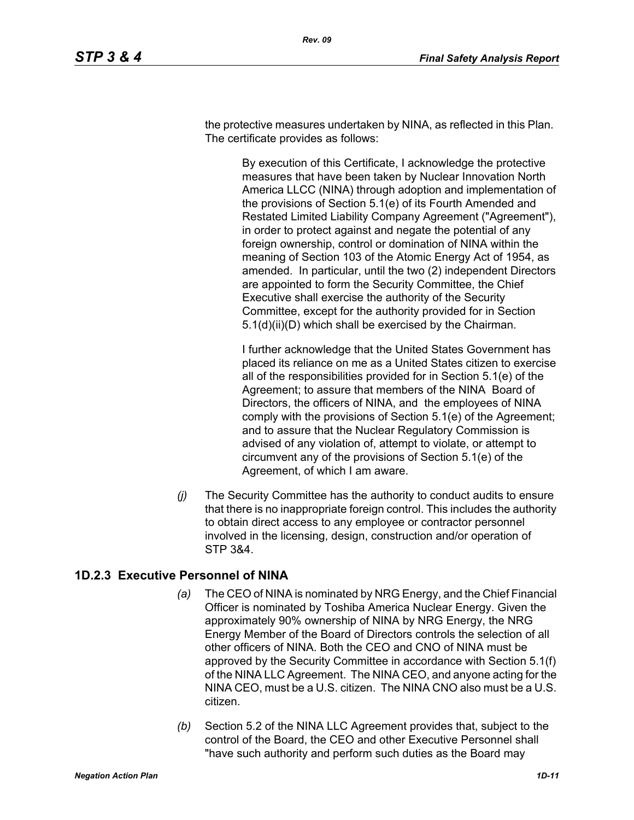the protective measures undertaken by NINA, as reflected in this Plan. The certificate provides as follows:

> By execution of this Certificate, I acknowledge the protective measures that have been taken by Nuclear Innovation North America LLCC (NINA) through adoption and implementation of the provisions of Section 5.1(e) of its Fourth Amended and Restated Limited Liability Company Agreement ("Agreement"), in order to protect against and negate the potential of any foreign ownership, control or domination of NINA within the meaning of Section 103 of the Atomic Energy Act of 1954, as amended. In particular, until the two (2) independent Directors are appointed to form the Security Committee, the Chief Executive shall exercise the authority of the Security Committee, except for the authority provided for in Section 5.1(d)(ii)(D) which shall be exercised by the Chairman.

> I further acknowledge that the United States Government has placed its reliance on me as a United States citizen to exercise all of the responsibilities provided for in Section 5.1(e) of the Agreement; to assure that members of the NINA Board of Directors, the officers of NINA, and the employees of NINA comply with the provisions of Section 5.1(e) of the Agreement; and to assure that the Nuclear Regulatory Commission is advised of any violation of, attempt to violate, or attempt to circumvent any of the provisions of Section 5.1(e) of the Agreement, of which I am aware.

*(j)* The Security Committee has the authority to conduct audits to ensure that there is no inappropriate foreign control. This includes the authority to obtain direct access to any employee or contractor personnel involved in the licensing, design, construction and/or operation of STP 3&4.

## **1D.2.3 Executive Personnel of NINA**

- *(a)* The CEO of NINA is nominated by NRG Energy, and the Chief Financial Officer is nominated by Toshiba America Nuclear Energy. Given the approximately 90% ownership of NINA by NRG Energy, the NRG Energy Member of the Board of Directors controls the selection of all other officers of NINA. Both the CEO and CNO of NINA must be approved by the Security Committee in accordance with Section 5.1(f) of the NINA LLC Agreement. The NINA CEO, and anyone acting for the NINA CEO, must be a U.S. citizen. The NINA CNO also must be a U.S. citizen.
- *(b)* Section 5.2 of the NINA LLC Agreement provides that, subject to the control of the Board, the CEO and other Executive Personnel shall "have such authority and perform such duties as the Board may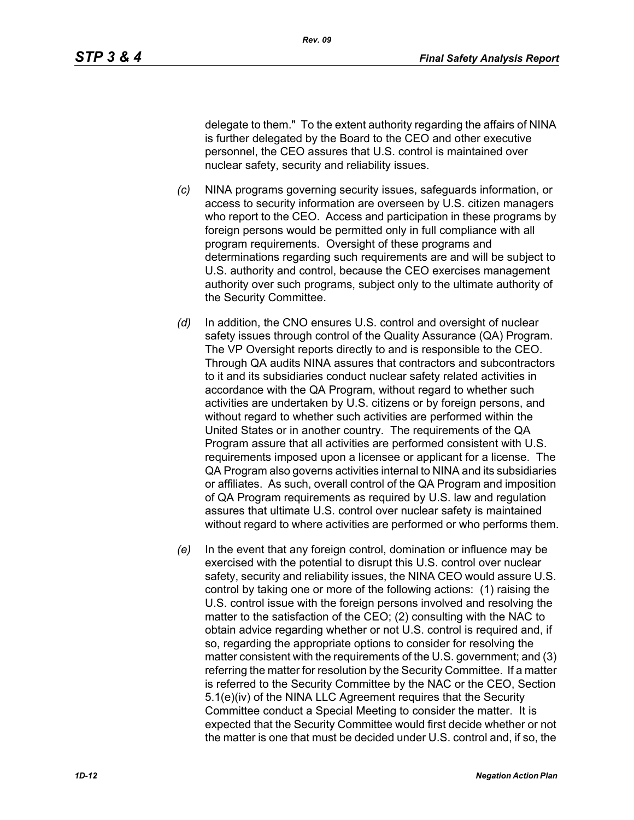delegate to them." To the extent authority regarding the affairs of NINA is further delegated by the Board to the CEO and other executive personnel, the CEO assures that U.S. control is maintained over nuclear safety, security and reliability issues.

- *(c)* NINA programs governing security issues, safeguards information, or access to security information are overseen by U.S. citizen managers who report to the CEO. Access and participation in these programs by foreign persons would be permitted only in full compliance with all program requirements. Oversight of these programs and determinations regarding such requirements are and will be subject to U.S. authority and control, because the CEO exercises management authority over such programs, subject only to the ultimate authority of the Security Committee.
- *(d)* In addition, the CNO ensures U.S. control and oversight of nuclear safety issues through control of the Quality Assurance (QA) Program. The VP Oversight reports directly to and is responsible to the CEO. Through QA audits NINA assures that contractors and subcontractors to it and its subsidiaries conduct nuclear safety related activities in accordance with the QA Program, without regard to whether such activities are undertaken by U.S. citizens or by foreign persons, and without regard to whether such activities are performed within the United States or in another country. The requirements of the QA Program assure that all activities are performed consistent with U.S. requirements imposed upon a licensee or applicant for a license. The QA Program also governs activities internal to NINA and its subsidiaries or affiliates. As such, overall control of the QA Program and imposition of QA Program requirements as required by U.S. law and regulation assures that ultimate U.S. control over nuclear safety is maintained without regard to where activities are performed or who performs them.
- *(e)* In the event that any foreign control, domination or influence may be exercised with the potential to disrupt this U.S. control over nuclear safety, security and reliability issues, the NINA CEO would assure U.S. control by taking one or more of the following actions: (1) raising the U.S. control issue with the foreign persons involved and resolving the matter to the satisfaction of the CEO; (2) consulting with the NAC to obtain advice regarding whether or not U.S. control is required and, if so, regarding the appropriate options to consider for resolving the matter consistent with the requirements of the U.S. government; and (3) referring the matter for resolution by the Security Committee. If a matter is referred to the Security Committee by the NAC or the CEO, Section 5.1(e)(iv) of the NINA LLC Agreement requires that the Security Committee conduct a Special Meeting to consider the matter. It is expected that the Security Committee would first decide whether or not the matter is one that must be decided under U.S. control and, if so, the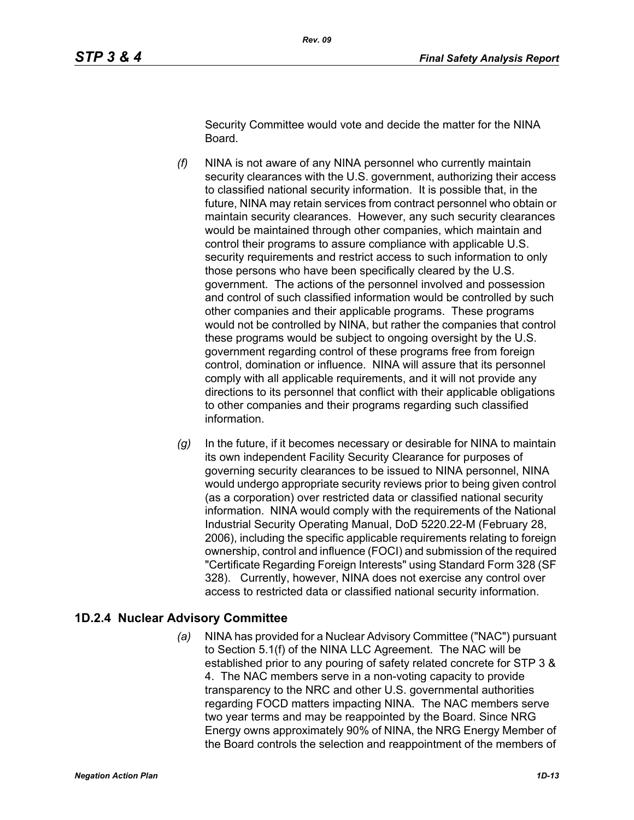Security Committee would vote and decide the matter for the NINA Board.

- *(f)* NINA is not aware of any NINA personnel who currently maintain security clearances with the U.S. government, authorizing their access to classified national security information. It is possible that, in the future, NINA may retain services from contract personnel who obtain or maintain security clearances. However, any such security clearances would be maintained through other companies, which maintain and control their programs to assure compliance with applicable U.S. security requirements and restrict access to such information to only those persons who have been specifically cleared by the U.S. government. The actions of the personnel involved and possession and control of such classified information would be controlled by such other companies and their applicable programs. These programs would not be controlled by NINA, but rather the companies that control these programs would be subject to ongoing oversight by the U.S. government regarding control of these programs free from foreign control, domination or influence. NINA will assure that its personnel comply with all applicable requirements, and it will not provide any directions to its personnel that conflict with their applicable obligations to other companies and their programs regarding such classified information.
- *(g)* In the future, if it becomes necessary or desirable for NINA to maintain its own independent Facility Security Clearance for purposes of governing security clearances to be issued to NINA personnel, NINA would undergo appropriate security reviews prior to being given control (as a corporation) over restricted data or classified national security information. NINA would comply with the requirements of the National Industrial Security Operating Manual, DoD 5220.22-M (February 28, 2006), including the specific applicable requirements relating to foreign ownership, control and influence (FOCI) and submission of the required "Certificate Regarding Foreign Interests" using Standard Form 328 (SF 328). Currently, however, NINA does not exercise any control over access to restricted data or classified national security information.

## **1D.2.4 Nuclear Advisory Committee**

*(a)* NINA has provided for a Nuclear Advisory Committee ("NAC") pursuant to Section 5.1(f) of the NINA LLC Agreement. The NAC will be established prior to any pouring of safety related concrete for STP 3 & 4. The NAC members serve in a non-voting capacity to provide transparency to the NRC and other U.S. governmental authorities regarding FOCD matters impacting NINA. The NAC members serve two year terms and may be reappointed by the Board. Since NRG Energy owns approximately 90% of NINA, the NRG Energy Member of the Board controls the selection and reappointment of the members of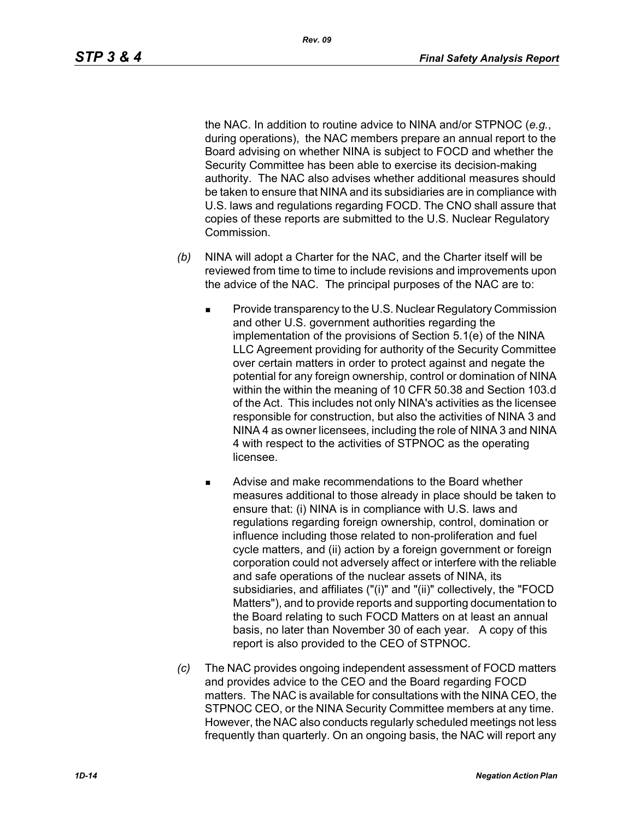the NAC. In addition to routine advice to NINA and/or STPNOC (*e.g.*, during operations), the NAC members prepare an annual report to the Board advising on whether NINA is subject to FOCD and whether the Security Committee has been able to exercise its decision-making authority. The NAC also advises whether additional measures should be taken to ensure that NINA and its subsidiaries are in compliance with U.S. laws and regulations regarding FOCD. The CNO shall assure that copies of these reports are submitted to the U.S. Nuclear Regulatory Commission.

- *(b)* NINA will adopt a Charter for the NAC, and the Charter itself will be reviewed from time to time to include revisions and improvements upon the advice of the NAC. The principal purposes of the NAC are to:
	- Provide transparency to the U.S. Nuclear Regulatory Commission and other U.S. government authorities regarding the implementation of the provisions of Section 5.1(e) of the NINA LLC Agreement providing for authority of the Security Committee over certain matters in order to protect against and negate the potential for any foreign ownership, control or domination of NINA within the within the meaning of 10 CFR 50.38 and Section 103.d of the Act. This includes not only NINA's activities as the licensee responsible for construction, but also the activities of NINA 3 and NINA 4 as owner licensees, including the role of NINA 3 and NINA 4 with respect to the activities of STPNOC as the operating licensee.
	- **Advise and make recommendations to the Board whether** measures additional to those already in place should be taken to ensure that: (i) NINA is in compliance with U.S. laws and regulations regarding foreign ownership, control, domination or influence including those related to non-proliferation and fuel cycle matters, and (ii) action by a foreign government or foreign corporation could not adversely affect or interfere with the reliable and safe operations of the nuclear assets of NINA, its subsidiaries, and affiliates ("(i)" and "(ii)" collectively, the "FOCD Matters"), and to provide reports and supporting documentation to the Board relating to such FOCD Matters on at least an annual basis, no later than November 30 of each year. A copy of this report is also provided to the CEO of STPNOC.
- *(c)* The NAC provides ongoing independent assessment of FOCD matters and provides advice to the CEO and the Board regarding FOCD matters. The NAC is available for consultations with the NINA CEO, the STPNOC CEO, or the NINA Security Committee members at any time. However, the NAC also conducts regularly scheduled meetings not less frequently than quarterly. On an ongoing basis, the NAC will report any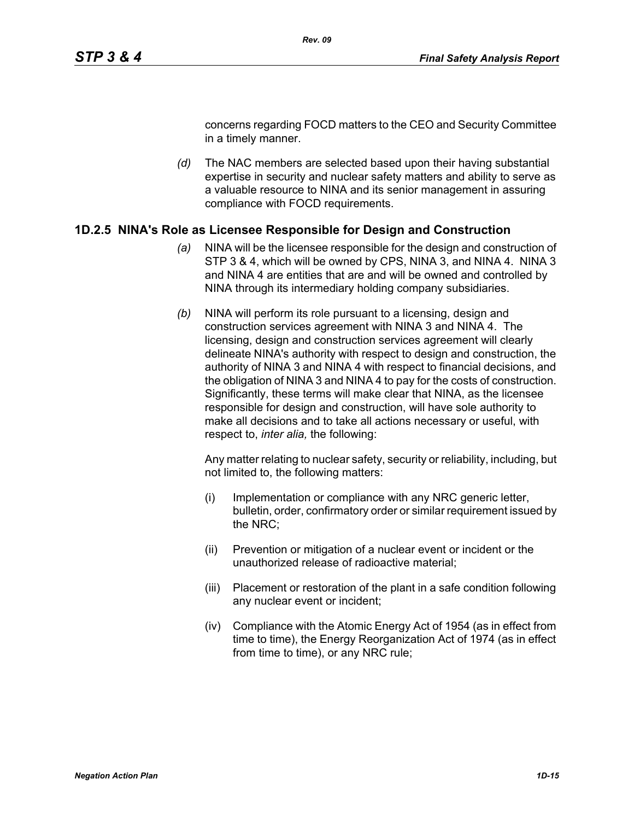concerns regarding FOCD matters to the CEO and Security Committee in a timely manner.

*(d)* The NAC members are selected based upon their having substantial expertise in security and nuclear safety matters and ability to serve as a valuable resource to NINA and its senior management in assuring compliance with FOCD requirements.

#### **1D.2.5 NINA's Role as Licensee Responsible for Design and Construction**

- *(a)* NINA will be the licensee responsible for the design and construction of STP 3 & 4, which will be owned by CPS, NINA 3, and NINA 4. NINA 3 and NINA 4 are entities that are and will be owned and controlled by NINA through its intermediary holding company subsidiaries.
- *(b)* NINA will perform its role pursuant to a licensing, design and construction services agreement with NINA 3 and NINA 4. The licensing, design and construction services agreement will clearly delineate NINA's authority with respect to design and construction, the authority of NINA 3 and NINA 4 with respect to financial decisions, and the obligation of NINA 3 and NINA 4 to pay for the costs of construction. Significantly, these terms will make clear that NINA, as the licensee responsible for design and construction, will have sole authority to make all decisions and to take all actions necessary or useful, with respect to, *inter alia,* the following:

Any matter relating to nuclear safety, security or reliability, including, but not limited to, the following matters:

- (i) Implementation or compliance with any NRC generic letter, bulletin, order, confirmatory order or similar requirement issued by the NRC;
- (ii) Prevention or mitigation of a nuclear event or incident or the unauthorized release of radioactive material;
- (iii) Placement or restoration of the plant in a safe condition following any nuclear event or incident;
- (iv) Compliance with the Atomic Energy Act of 1954 (as in effect from time to time), the Energy Reorganization Act of 1974 (as in effect from time to time), or any NRC rule;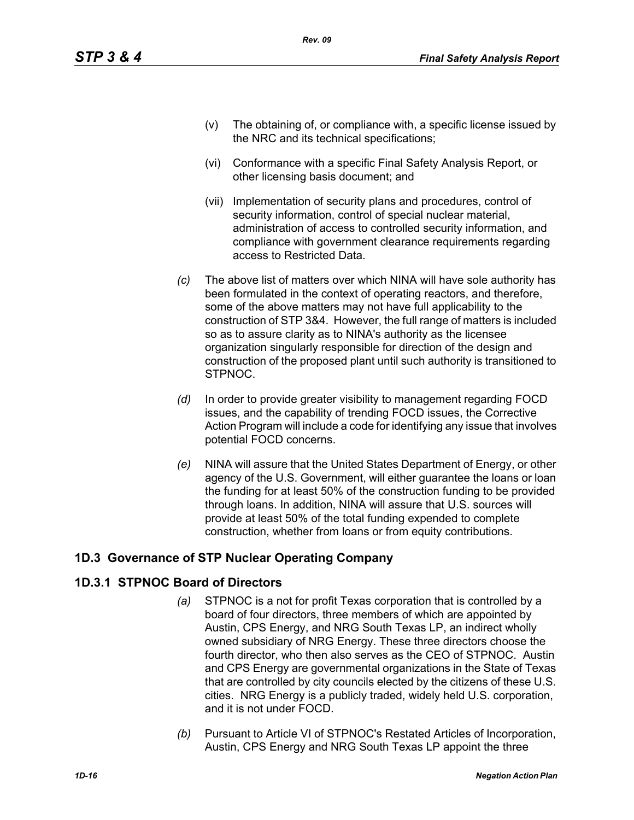- (v) The obtaining of, or compliance with, a specific license issued by the NRC and its technical specifications;
- (vi) Conformance with a specific Final Safety Analysis Report, or other licensing basis document; and
- (vii) Implementation of security plans and procedures, control of security information, control of special nuclear material, administration of access to controlled security information, and compliance with government clearance requirements regarding access to Restricted Data.
- *(c)* The above list of matters over which NINA will have sole authority has been formulated in the context of operating reactors, and therefore, some of the above matters may not have full applicability to the construction of STP 3&4. However, the full range of matters is included so as to assure clarity as to NINA's authority as the licensee organization singularly responsible for direction of the design and construction of the proposed plant until such authority is transitioned to STPNOC.
- *(d)* In order to provide greater visibility to management regarding FOCD issues, and the capability of trending FOCD issues, the Corrective Action Program will include a code for identifying any issue that involves potential FOCD concerns.
- *(e)* NINA will assure that the United States Department of Energy, or other agency of the U.S. Government, will either guarantee the loans or loan the funding for at least 50% of the construction funding to be provided through loans. In addition, NINA will assure that U.S. sources will provide at least 50% of the total funding expended to complete construction, whether from loans or from equity contributions.

# **1D.3 Governance of STP Nuclear Operating Company**

# **1D.3.1 STPNOC Board of Directors**

- *(a)* STPNOC is a not for profit Texas corporation that is controlled by a board of four directors, three members of which are appointed by Austin, CPS Energy, and NRG South Texas LP, an indirect wholly owned subsidiary of NRG Energy. These three directors choose the fourth director, who then also serves as the CEO of STPNOC. Austin and CPS Energy are governmental organizations in the State of Texas that are controlled by city councils elected by the citizens of these U.S. cities. NRG Energy is a publicly traded, widely held U.S. corporation, and it is not under FOCD.
- *(b)* Pursuant to Article VI of STPNOC's Restated Articles of Incorporation, Austin, CPS Energy and NRG South Texas LP appoint the three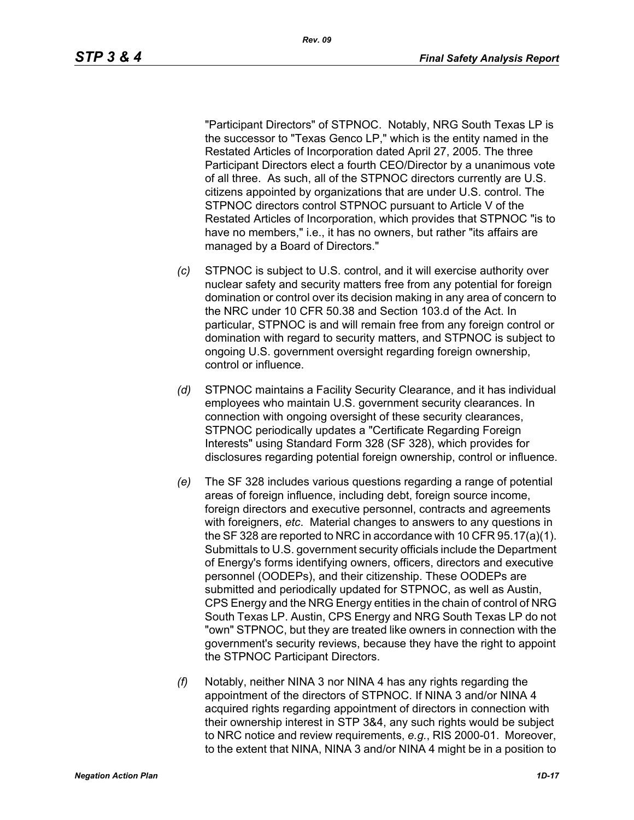"Participant Directors" of STPNOC. Notably, NRG South Texas LP is the successor to "Texas Genco LP," which is the entity named in the Restated Articles of Incorporation dated April 27, 2005. The three Participant Directors elect a fourth CEO/Director by a unanimous vote of all three. As such, all of the STPNOC directors currently are U.S. citizens appointed by organizations that are under U.S. control. The STPNOC directors control STPNOC pursuant to Article V of the Restated Articles of Incorporation, which provides that STPNOC "is to have no members," i.e., it has no owners, but rather "its affairs are managed by a Board of Directors."

- *(c)* STPNOC is subject to U.S. control, and it will exercise authority over nuclear safety and security matters free from any potential for foreign domination or control over its decision making in any area of concern to the NRC under 10 CFR 50.38 and Section 103.d of the Act. In particular, STPNOC is and will remain free from any foreign control or domination with regard to security matters, and STPNOC is subject to ongoing U.S. government oversight regarding foreign ownership, control or influence.
- *(d)* STPNOC maintains a Facility Security Clearance, and it has individual employees who maintain U.S. government security clearances. In connection with ongoing oversight of these security clearances, STPNOC periodically updates a "Certificate Regarding Foreign Interests" using Standard Form 328 (SF 328), which provides for disclosures regarding potential foreign ownership, control or influence.
- *(e)* The SF 328 includes various questions regarding a range of potential areas of foreign influence, including debt, foreign source income, foreign directors and executive personnel, contracts and agreements with foreigners, *etc*. Material changes to answers to any questions in the SF 328 are reported to NRC in accordance with 10 CFR 95.17(a)(1). Submittals to U.S. government security officials include the Department of Energy's forms identifying owners, officers, directors and executive personnel (OODEPs), and their citizenship. These OODEPs are submitted and periodically updated for STPNOC, as well as Austin, CPS Energy and the NRG Energy entities in the chain of control of NRG South Texas LP. Austin, CPS Energy and NRG South Texas LP do not "own" STPNOC, but they are treated like owners in connection with the government's security reviews, because they have the right to appoint the STPNOC Participant Directors.
- *(f)* Notably, neither NINA 3 nor NINA 4 has any rights regarding the appointment of the directors of STPNOC. If NINA 3 and/or NINA 4 acquired rights regarding appointment of directors in connection with their ownership interest in STP 3&4, any such rights would be subject to NRC notice and review requirements, *e.g.*, RIS 2000-01. Moreover, to the extent that NINA, NINA 3 and/or NINA 4 might be in a position to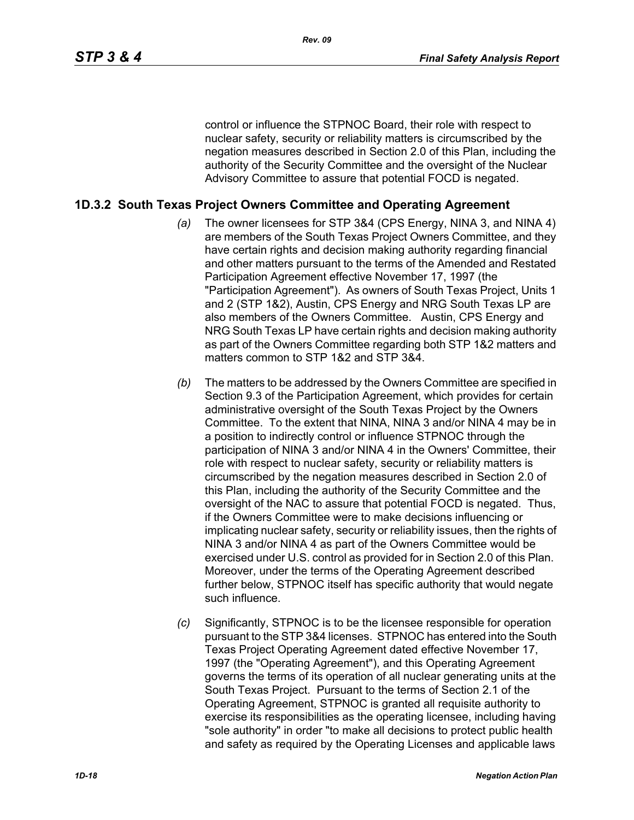control or influence the STPNOC Board, their role with respect to nuclear safety, security or reliability matters is circumscribed by the negation measures described in Section 2.0 of this Plan, including the authority of the Security Committee and the oversight of the Nuclear Advisory Committee to assure that potential FOCD is negated.

### **1D.3.2 South Texas Project Owners Committee and Operating Agreement**

- *(a)* The owner licensees for STP 3&4 (CPS Energy, NINA 3, and NINA 4) are members of the South Texas Project Owners Committee, and they have certain rights and decision making authority regarding financial and other matters pursuant to the terms of the Amended and Restated Participation Agreement effective November 17, 1997 (the "Participation Agreement"). As owners of South Texas Project, Units 1 and 2 (STP 1&2), Austin, CPS Energy and NRG South Texas LP are also members of the Owners Committee. Austin, CPS Energy and NRG South Texas LP have certain rights and decision making authority as part of the Owners Committee regarding both STP 1&2 matters and matters common to STP 1&2 and STP 3&4.
- *(b)* The matters to be addressed by the Owners Committee are specified in Section 9.3 of the Participation Agreement, which provides for certain administrative oversight of the South Texas Project by the Owners Committee. To the extent that NINA, NINA 3 and/or NINA 4 may be in a position to indirectly control or influence STPNOC through the participation of NINA 3 and/or NINA 4 in the Owners' Committee, their role with respect to nuclear safety, security or reliability matters is circumscribed by the negation measures described in Section 2.0 of this Plan, including the authority of the Security Committee and the oversight of the NAC to assure that potential FOCD is negated. Thus, if the Owners Committee were to make decisions influencing or implicating nuclear safety, security or reliability issues, then the rights of NINA 3 and/or NINA 4 as part of the Owners Committee would be exercised under U.S. control as provided for in Section 2.0 of this Plan. Moreover, under the terms of the Operating Agreement described further below, STPNOC itself has specific authority that would negate such influence.
- *(c)* Significantly, STPNOC is to be the licensee responsible for operation pursuant to the STP 3&4 licenses. STPNOC has entered into the South Texas Project Operating Agreement dated effective November 17, 1997 (the "Operating Agreement"), and this Operating Agreement governs the terms of its operation of all nuclear generating units at the South Texas Project. Pursuant to the terms of Section 2.1 of the Operating Agreement, STPNOC is granted all requisite authority to exercise its responsibilities as the operating licensee, including having "sole authority" in order "to make all decisions to protect public health and safety as required by the Operating Licenses and applicable laws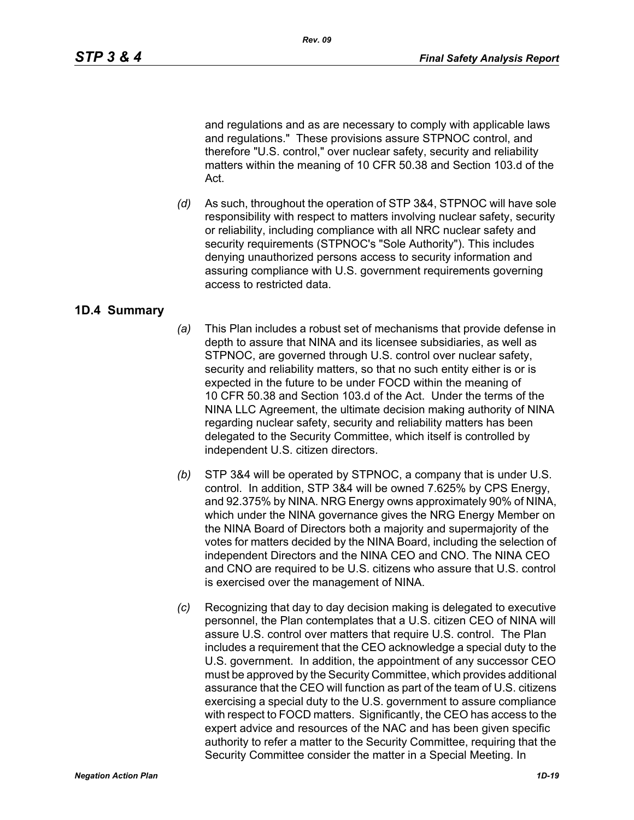and regulations and as are necessary to comply with applicable laws and regulations." These provisions assure STPNOC control, and therefore "U.S. control," over nuclear safety, security and reliability matters within the meaning of 10 CFR 50.38 and Section 103.d of the Act.

*(d)* As such, throughout the operation of STP 3&4, STPNOC will have sole responsibility with respect to matters involving nuclear safety, security or reliability, including compliance with all NRC nuclear safety and security requirements (STPNOC's "Sole Authority"). This includes denying unauthorized persons access to security information and assuring compliance with U.S. government requirements governing access to restricted data.

## **1D.4 Summary**

- *(a)* This Plan includes a robust set of mechanisms that provide defense in depth to assure that NINA and its licensee subsidiaries, as well as STPNOC, are governed through U.S. control over nuclear safety, security and reliability matters, so that no such entity either is or is expected in the future to be under FOCD within the meaning of 10 CFR 50.38 and Section 103.d of the Act. Under the terms of the NINA LLC Agreement, the ultimate decision making authority of NINA regarding nuclear safety, security and reliability matters has been delegated to the Security Committee, which itself is controlled by independent U.S. citizen directors.
- *(b)* STP 3&4 will be operated by STPNOC, a company that is under U.S. control. In addition, STP 3&4 will be owned 7.625% by CPS Energy, and 92.375% by NINA. NRG Energy owns approximately 90% of NINA, which under the NINA governance gives the NRG Energy Member on the NINA Board of Directors both a majority and supermajority of the votes for matters decided by the NINA Board, including the selection of independent Directors and the NINA CEO and CNO. The NINA CEO and CNO are required to be U.S. citizens who assure that U.S. control is exercised over the management of NINA.
- *(c)* Recognizing that day to day decision making is delegated to executive personnel, the Plan contemplates that a U.S. citizen CEO of NINA will assure U.S. control over matters that require U.S. control. The Plan includes a requirement that the CEO acknowledge a special duty to the U.S. government. In addition, the appointment of any successor CEO must be approved by the Security Committee, which provides additional assurance that the CEO will function as part of the team of U.S. citizens exercising a special duty to the U.S. government to assure compliance with respect to FOCD matters. Significantly, the CEO has access to the expert advice and resources of the NAC and has been given specific authority to refer a matter to the Security Committee, requiring that the Security Committee consider the matter in a Special Meeting. In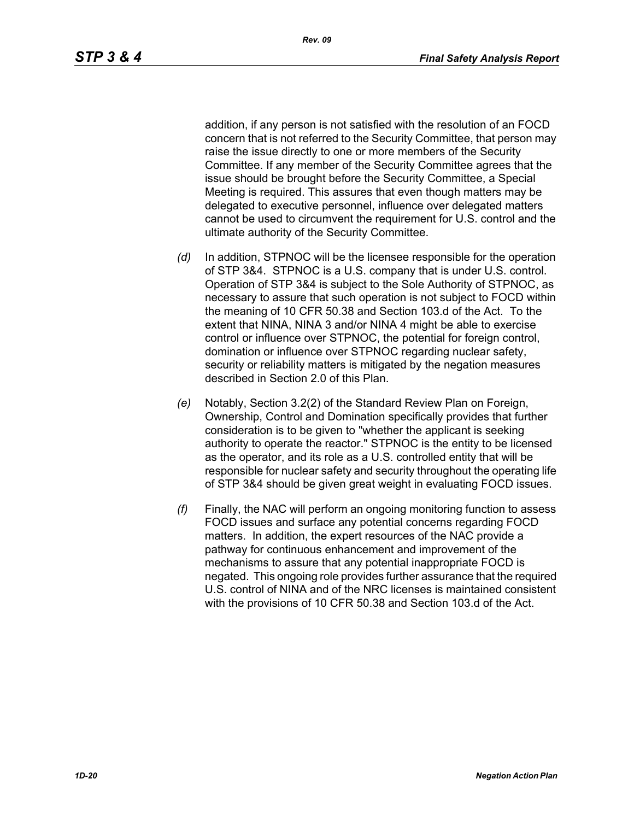addition, if any person is not satisfied with the resolution of an FOCD concern that is not referred to the Security Committee, that person may raise the issue directly to one or more members of the Security Committee. If any member of the Security Committee agrees that the issue should be brought before the Security Committee, a Special Meeting is required. This assures that even though matters may be delegated to executive personnel, influence over delegated matters cannot be used to circumvent the requirement for U.S. control and the ultimate authority of the Security Committee.

- *(d)* In addition, STPNOC will be the licensee responsible for the operation of STP 3&4. STPNOC is a U.S. company that is under U.S. control. Operation of STP 3&4 is subject to the Sole Authority of STPNOC, as necessary to assure that such operation is not subject to FOCD within the meaning of 10 CFR 50.38 and Section 103.d of the Act. To the extent that NINA, NINA 3 and/or NINA 4 might be able to exercise control or influence over STPNOC, the potential for foreign control, domination or influence over STPNOC regarding nuclear safety, security or reliability matters is mitigated by the negation measures described in Section 2.0 of this Plan.
- *(e)* Notably, Section 3.2(2) of the Standard Review Plan on Foreign, Ownership, Control and Domination specifically provides that further consideration is to be given to "whether the applicant is seeking authority to operate the reactor." STPNOC is the entity to be licensed as the operator, and its role as a U.S. controlled entity that will be responsible for nuclear safety and security throughout the operating life of STP 3&4 should be given great weight in evaluating FOCD issues.
- *(f)* Finally, the NAC will perform an ongoing monitoring function to assess FOCD issues and surface any potential concerns regarding FOCD matters. In addition, the expert resources of the NAC provide a pathway for continuous enhancement and improvement of the mechanisms to assure that any potential inappropriate FOCD is negated. This ongoing role provides further assurance that the required U.S. control of NINA and of the NRC licenses is maintained consistent with the provisions of 10 CFR 50.38 and Section 103.d of the Act.